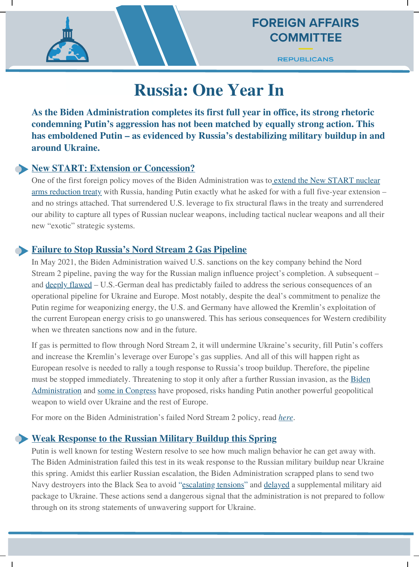**REPUBLICANS** 

# **Russia: One Year In**

**As the Biden Administration completes its first full year in office, its strong rhetoric condemning Putin's aggression has not been matched by equally strong action. This has emboldened Putin – as evidenced by Russia's destabilizing military buildup in and around Ukraine.**

#### **New START: Extension or Concession?**

One of the first foreign policy moves of the Biden Administration was to extend the New START nuclear arms reduction treaty with Russia, handing Putin exactly [what he asked for with a full five-year extension](https://gop-foreignaffairs.house.gov/press-release/mccaul-rogers-oppose-biden-administrations-five-year-extension-of-new-start/) – and no strings attached. That surrendered U.S. leverage to fix structural flaws in the treaty and surrendered our ability to capture all types of Russian nuclear weapons, including tactical nuclear weapons and all their new "exotic" strategic systems.

#### **Failure to Stop Russia's Nord Stream 2 Gas Pipeline**

In May 2021, the Biden Administration waived U.S. sanctions on the key company behind the Nord Stream 2 pipeline, paving the way for the Russian malign influence project's completion. A subsequent – and deeply [flawed](https://gop-foreignaffairs.house.gov/press-release/mccaul-risch-highlight-bidens-failed-policy-to-stop-nord-stream-2/) – U.S.-German deal has predictably failed to address the serious consequences of an operational pipeline for Ukraine and Europe. Most notably, despite the deal's commitment to penalize the Putin regime for weaponizing energy, the U.S. and Germany have allowed the Kremlin's exploitation of the current European energy crisis to go unanswered. This has serious consequences for Western credibility when we threaten sanctions now and in the future.

If gas is permitted to flow through Nord Stream 2, it will undermine Ukraine's security, fill Putin's coffers and increase the Kremlin's leverage over Europe's gas supplies. And all of this will happen right as European resolve is needed to rally a tough response to Russia's troop buildup. Therefore, the pipeline must be stopped immediately. Threatening to stop it only after a further Russian invasion, as the [Biden](https://foreignpolicy.com/2021/11/24/biden-aims-to-quash-nord-stream-2-sanctions-in-defense-bill/) [Administration](https://www.bloomberg.com/news/articles/2021-12-07/u-s-wants-nord-stream-2-halted-if-putin-were-to-invade-ukraine) and some in [Congress](https://www.politico.com/newsletters/national-security-daily/2022/01/03/how-dems-could-sabotage-cruzs-nord-stream-2-gambit-495573) have proposed, risks handing Putin another powerful geopolitical weapon to wield over Ukraine and the rest of Europe.

For more on the Biden Administration's failed Nord Stream 2 policy, read *[here](https://gop-foreignaffairs.house.gov/press-release/mccaul-risch-highlight-bidens-failed-policy-to-stop-nord-stream-2/)*.

### **Weak Response to the Russian Military Buildup this Spring**

Putin is well known for testing Western resolve to see how much malign behavior he can get away with. The Biden Administration failed this test in its weak response to the Russian military buildup near Ukraine this spring. Amidst this earlier Russian escalation, the Biden Administration scrapped plans to send two Navy destroyers into the Black Sea to avoid "[escalating](https://www.politico.com/news/2021/04/15/us-navy-ukraine-russia-tensions-481897) tensions" and [delayed](https://www.politico.com/news/2021/06/18/white-house-ukraine-military-lethal-weapons-495169) a supplemental military aid package to Ukraine. These actions send a dangerous signal that the administration is not prepared to follow through on its strong statements of unwavering support for Ukraine.